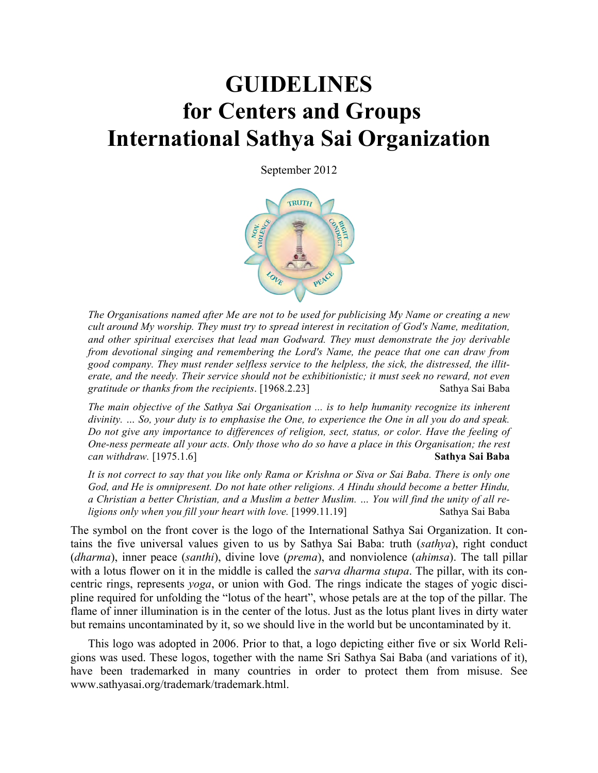# **GUIDELINES for Centers and Groups International Sathya Sai Organization**

September 2012



*The Organisations named after Me are not to be used for publicising My Name or creating a new cult around My worship. They must try to spread interest in recitation of God's Name, meditation, and other spiritual exercises that lead man Godward. They must demonstrate the joy derivable from devotional singing and remembering the Lord's Name, the peace that one can draw from good company. They must render selfless service to the helpless, the sick, the distressed, the illiterate, and the needy. Their service should not be exhibitionistic; it must seek no reward, not even gratitude or thanks from the recipients*. [1968.2.23] Sathya Sai Baba

*The main objective of the Sathya Sai Organisation ... is to help humanity recognize its inherent divinity. … So, your duty is to emphasise the One, to experience the One in all you do and speak. Do not give any importance to differences of religion, sect, status, or color. Have the feeling of One-ness permeate all your acts. Only those who do so have a place in this Organisation; the rest can withdraw.* [1975.1.6] **Sathya Sai Baba**

*It is not correct to say that you like only Rama or Krishna or Siva or Sai Baba. There is only one God, and He is omnipresent. Do not hate other religions. A Hindu should become a better Hindu, a Christian a better Christian, and a Muslim a better Muslim. … You will find the unity of all religions only when you fill your heart with love.* [1999.11.19] Sathya Sai Baba

The symbol on the front cover is the logo of the International Sathya Sai Organization. It contains the five universal values given to us by Sathya Sai Baba: truth (*sathya*), right conduct (*dharma*), inner peace (*santhi*), divine love (*prema*), and nonviolence (*ahimsa*). The tall pillar with a lotus flower on it in the middle is called the *sarva dharma stupa*. The pillar, with its concentric rings, represents *yoga*, or union with God. The rings indicate the stages of yogic discipline required for unfolding the "lotus of the heart", whose petals are at the top of the pillar. The flame of inner illumination is in the center of the lotus. Just as the lotus plant lives in dirty water but remains uncontaminated by it, so we should live in the world but be uncontaminated by it.

This logo was adopted in 2006. Prior to that, a logo depicting either five or six World Religions was used. These logos, together with the name Sri Sathya Sai Baba (and variations of it), have been trademarked in many countries in order to protect them from misuse. See www.sathyasai.org/trademark/trademark.html.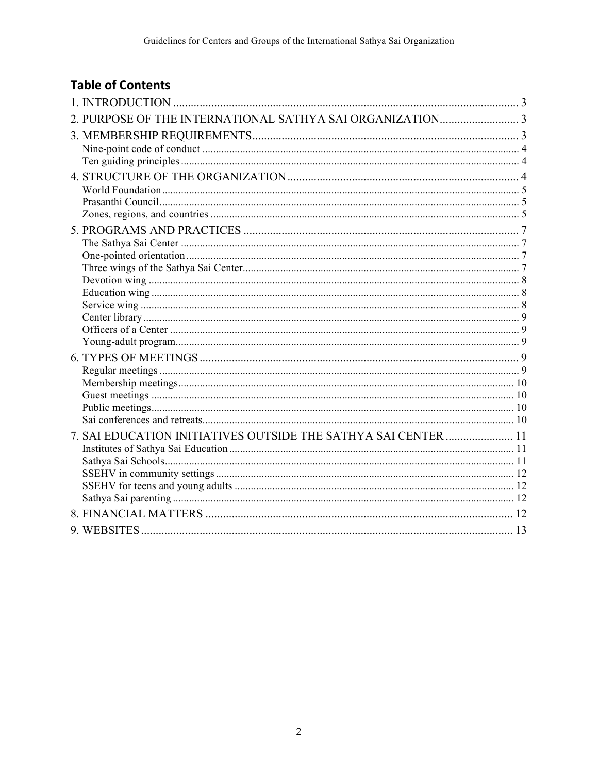## **Table of Contents**

| 7. SAI EDUCATION INITIATIVES OUTSIDE THE SATHYA SAI CENTER  11 |  |
|----------------------------------------------------------------|--|
|                                                                |  |
|                                                                |  |
|                                                                |  |
|                                                                |  |
|                                                                |  |
|                                                                |  |
|                                                                |  |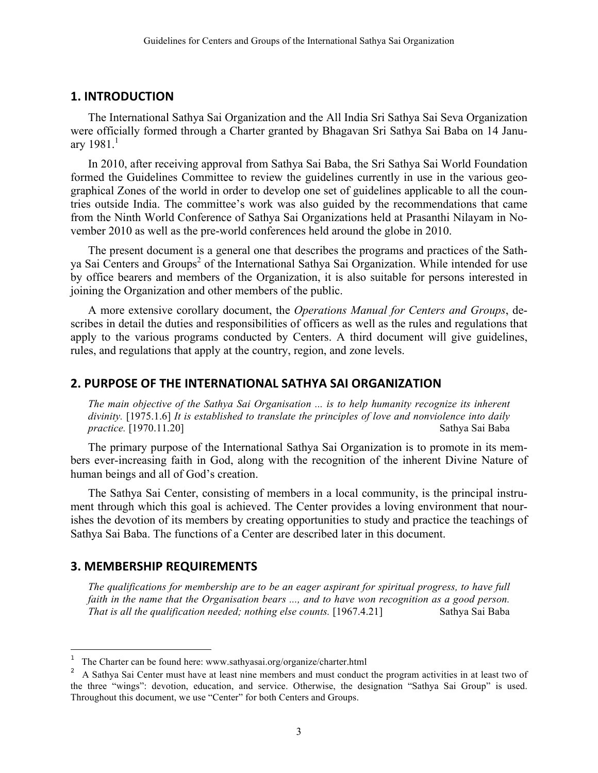#### **1. INTRODUCTION**

The International Sathya Sai Organization and the All India Sri Sathya Sai Seva Organization were officially formed through a Charter granted by Bhagavan Sri Sathya Sai Baba on 14 January  $1981.1$ 

In 2010, after receiving approval from Sathya Sai Baba, the Sri Sathya Sai World Foundation formed the Guidelines Committee to review the guidelines currently in use in the various geographical Zones of the world in order to develop one set of guidelines applicable to all the countries outside India. The committee's work was also guided by the recommendations that came from the Ninth World Conference of Sathya Sai Organizations held at Prasanthi Nilayam in November 2010 as well as the pre-world conferences held around the globe in 2010.

The present document is a general one that describes the programs and practices of the Sathya Sai Centers and Groups<sup>2</sup> of the International Sathya Sai Organization. While intended for use by office bearers and members of the Organization, it is also suitable for persons interested in joining the Organization and other members of the public.

A more extensive corollary document, the *Operations Manual for Centers and Groups*, describes in detail the duties and responsibilities of officers as well as the rules and regulations that apply to the various programs conducted by Centers. A third document will give guidelines, rules, and regulations that apply at the country, region, and zone levels.

#### **2. PURPOSE OF THE INTERNATIONAL SATHYA SAI ORGANIZATION**

*The main objective of the Sathya Sai Organisation ... is to help humanity recognize its inherent divinity.* [1975.1.6] *It is established to translate the principles of love and nonviolence into daily practice.* [1970.11.20] Sathya Sai Baba

The primary purpose of the International Sathya Sai Organization is to promote in its members ever-increasing faith in God, along with the recognition of the inherent Divine Nature of human beings and all of God's creation.

The Sathya Sai Center, consisting of members in a local community, is the principal instrument through which this goal is achieved. The Center provides a loving environment that nourishes the devotion of its members by creating opportunities to study and practice the teachings of Sathya Sai Baba. The functions of a Center are described later in this document.

#### **3. MEMBERSHIP REQUIREMENTS**

È,

*The qualifications for membership are to be an eager aspirant for spiritual progress, to have full faith in the name that the Organisation bears ..., and to have won recognition as a good person. That is all the qualification needed; nothing else counts.* [1967.4.21] Sathya Sai Baba

<sup>1</sup> The Charter can be found here: www.sathyasai.org/organize/charter.html

<sup>&</sup>lt;sup>2</sup> A Sathya Sai Center must have at least nine members and must conduct the program activities in at least two of the three "wings": devotion, education, and service. Otherwise, the designation "Sathya Sai Group" is used. Throughout this document, we use "Center" for both Centers and Groups.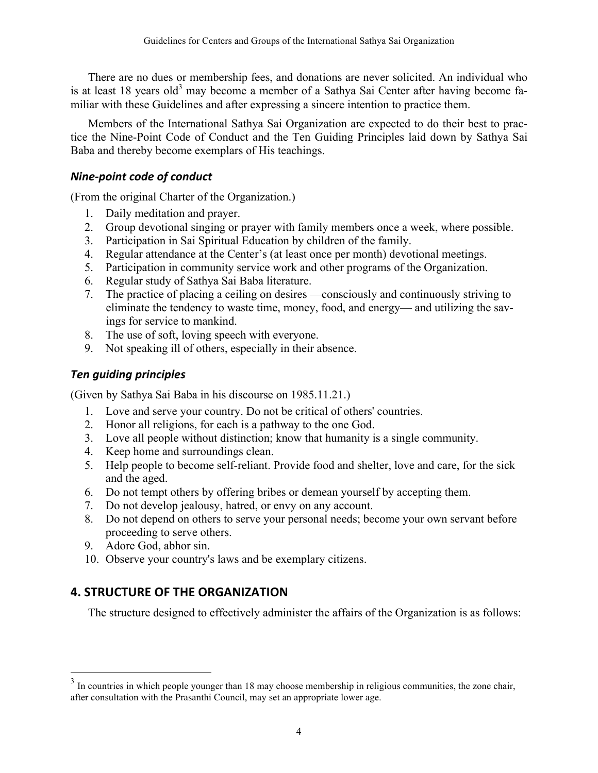There are no dues or membership fees, and donations are never solicited. An individual who is at least 18 years old<sup>3</sup> may become a member of a Sathya Sai Center after having become familiar with these Guidelines and after expressing a sincere intention to practice them.

Members of the International Sathya Sai Organization are expected to do their best to practice the Nine-Point Code of Conduct and the Ten Guiding Principles laid down by Sathya Sai Baba and thereby become exemplars of His teachings.

## *Nine-point code of conduct*

(From the original Charter of the Organization.)

- 1. Daily meditation and prayer.
- 2. Group devotional singing or prayer with family members once a week, where possible.
- 3. Participation in Sai Spiritual Education by children of the family.
- 4. Regular attendance at the Center's (at least once per month) devotional meetings.
- 5. Participation in community service work and other programs of the Organization.
- 6. Regular study of Sathya Sai Baba literature.
- 7. The practice of placing a ceiling on desires ––consciously and continuously striving to eliminate the tendency to waste time, money, food, and energy— and utilizing the savings for service to mankind.
- 8. The use of soft, loving speech with everyone.
- 9. Not speaking ill of others, especially in their absence.

## *Ten guiding principles*

(Given by Sathya Sai Baba in his discourse on 1985.11.21.)

- 1. Love and serve your country. Do not be critical of others' countries.
- 2. Honor all religions, for each is a pathway to the one God.
- 3. Love all people without distinction; know that humanity is a single community.
- 4. Keep home and surroundings clean.
- 5. Help people to become self-reliant. Provide food and shelter, love and care, for the sick and the aged.
- 6. Do not tempt others by offering bribes or demean yourself by accepting them.
- 7. Do not develop jealousy, hatred, or envy on any account.
- 8. Do not depend on others to serve your personal needs; become your own servant before proceeding to serve others.
- 9. Adore God, abhor sin.

È,

10. Observe your country's laws and be exemplary citizens.

## **4. STRUCTURE OF THE ORGANIZATION**

The structure designed to effectively administer the affairs of the Organization is as follows:

 $3 \text{ In countries in which people younger than 18 may choose membership in religious communities, the zone chair, }$ after consultation with the Prasanthi Council, may set an appropriate lower age.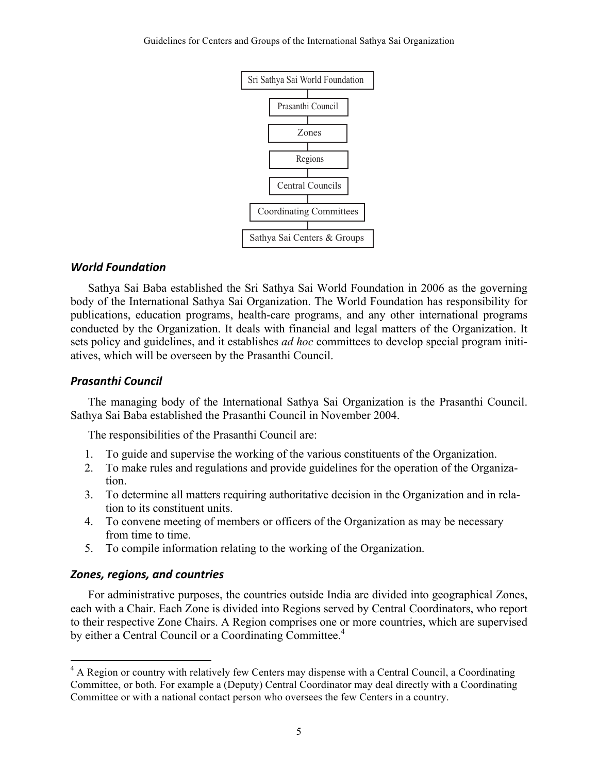

#### *World Foundation*

Sathya Sai Baba established the Sri Sathya Sai World Foundation in 2006 as the governing body of the International Sathya Sai Organization. The World Foundation has responsibility for publications, education programs, health-care programs, and any other international programs conducted by the Organization. It deals with financial and legal matters of the Organization. It sets policy and guidelines, and it establishes *ad hoc* committees to develop special program initiatives, which will be overseen by the Prasanthi Council.

#### *Prasanthi Council*

The managing body of the International Sathya Sai Organization is the Prasanthi Council. Sathya Sai Baba established the Prasanthi Council in November 2004.

The responsibilities of the Prasanthi Council are:

- 1. To guide and supervise the working of the various constituents of the Organization.
- 2. To make rules and regulations and provide guidelines for the operation of the Organization.
- 3. To determine all matters requiring authoritative decision in the Organization and in relation to its constituent units.
- 4. To convene meeting of members or officers of the Organization as may be necessary from time to time.
- 5. To compile information relating to the working of the Organization.

#### *Zones, regions, and countries*

È,

For administrative purposes, the countries outside India are divided into geographical Zones, each with a Chair. Each Zone is divided into Regions served by Central Coordinators, who report to their respective Zone Chairs. A Region comprises one or more countries, which are supervised by either a Central Council or a Coordinating Committee.<sup>4</sup>

<sup>&</sup>lt;sup>4</sup> A Region or country with relatively few Centers may dispense with a Central Council, a Coordinating Committee, or both. For example a (Deputy) Central Coordinator may deal directly with a Coordinating Committee or with a national contact person who oversees the few Centers in a country.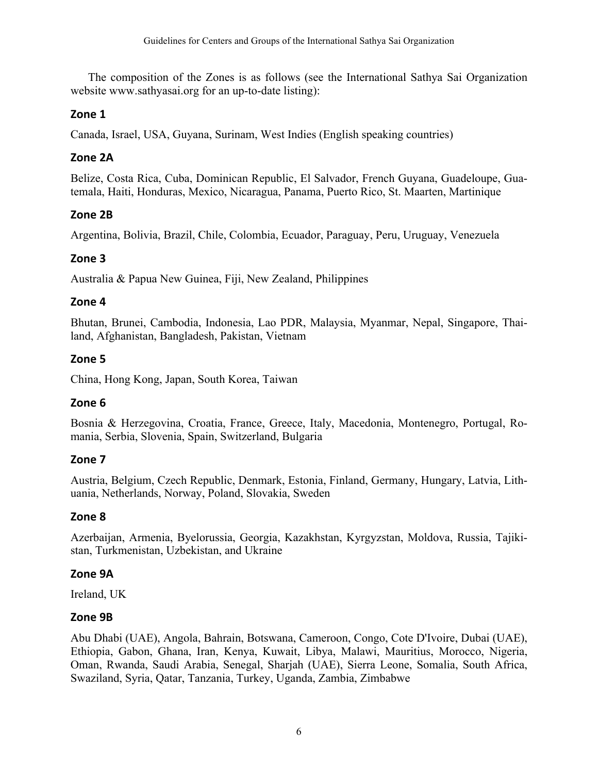The composition of the Zones is as follows (see the International Sathya Sai Organization website www.sathyasai.org for an up-to-date listing):

## **Zone 1**

Canada, Israel, USA, Guyana, Surinam, West Indies (English speaking countries)

## **Zone 2A**

Belize, Costa Rica, Cuba, Dominican Republic, El Salvador, French Guyana, Guadeloupe, Guatemala, Haiti, Honduras, Mexico, Nicaragua, Panama, Puerto Rico, St. Maarten, Martinique

## **Zone 2B**

Argentina, Bolivia, Brazil, Chile, Colombia, Ecuador, Paraguay, Peru, Uruguay, Venezuela

## **Zone 3**

Australia & Papua New Guinea, Fiji, New Zealand, Philippines

## **Zone 4**

Bhutan, Brunei, Cambodia, Indonesia, Lao PDR, Malaysia, Myanmar, Nepal, Singapore, Thailand, Afghanistan, Bangladesh, Pakistan, Vietnam

## **Zone 5**

China, Hong Kong, Japan, South Korea, Taiwan

## **Zone 6**

Bosnia & Herzegovina, Croatia, France, Greece, Italy, Macedonia, Montenegro, Portugal, Romania, Serbia, Slovenia, Spain, Switzerland, Bulgaria

## **Zone 7**

Austria, Belgium, Czech Republic, Denmark, Estonia, Finland, Germany, Hungary, Latvia, Lithuania, Netherlands, Norway, Poland, Slovakia, Sweden

## **Zone 8**

Azerbaijan, Armenia, Byelorussia, Georgia, Kazakhstan, Kyrgyzstan, Moldova, Russia, Tajikistan, Turkmenistan, Uzbekistan, and Ukraine

## **Zone 9A**

Ireland, UK

## **Zone 9B**

Abu Dhabi (UAE), Angola, Bahrain, Botswana, Cameroon, Congo, Cote D'Ivoire, Dubai (UAE), Ethiopia, Gabon, Ghana, Iran, Kenya, Kuwait, Libya, Malawi, Mauritius, Morocco, Nigeria, Oman, Rwanda, Saudi Arabia, Senegal, Sharjah (UAE), Sierra Leone, Somalia, South Africa, Swaziland, Syria, Qatar, Tanzania, Turkey, Uganda, Zambia, Zimbabwe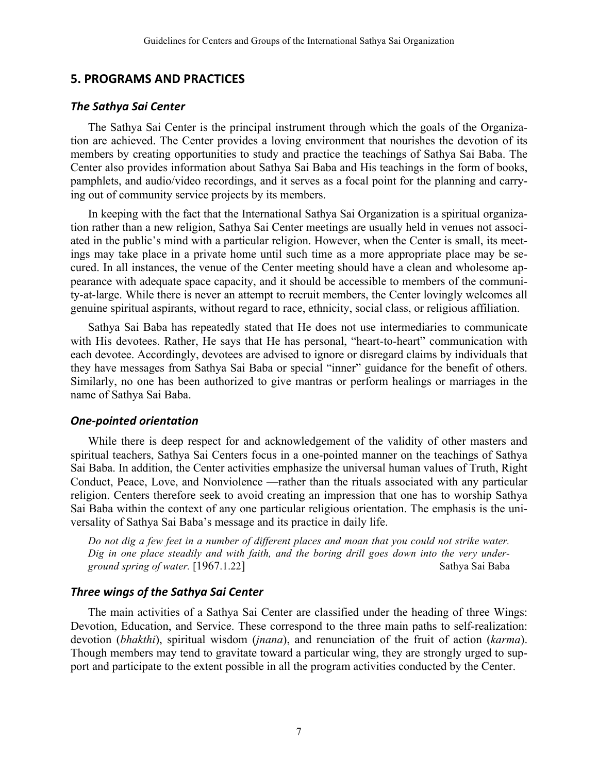#### **5. PROGRAMS AND PRACTICES**

#### *The Sathya Sai Center*

The Sathya Sai Center is the principal instrument through which the goals of the Organization are achieved. The Center provides a loving environment that nourishes the devotion of its members by creating opportunities to study and practice the teachings of Sathya Sai Baba. The Center also provides information about Sathya Sai Baba and His teachings in the form of books, pamphlets, and audio/video recordings, and it serves as a focal point for the planning and carrying out of community service projects by its members.

In keeping with the fact that the International Sathya Sai Organization is a spiritual organization rather than a new religion, Sathya Sai Center meetings are usually held in venues not associated in the public's mind with a particular religion. However, when the Center is small, its meetings may take place in a private home until such time as a more appropriate place may be secured. In all instances, the venue of the Center meeting should have a clean and wholesome appearance with adequate space capacity, and it should be accessible to members of the community-at-large. While there is never an attempt to recruit members, the Center lovingly welcomes all genuine spiritual aspirants, without regard to race, ethnicity, social class, or religious affiliation.

Sathya Sai Baba has repeatedly stated that He does not use intermediaries to communicate with His devotees. Rather, He says that He has personal, "heart-to-heart" communication with each devotee. Accordingly, devotees are advised to ignore or disregard claims by individuals that they have messages from Sathya Sai Baba or special "inner" guidance for the benefit of others. Similarly, no one has been authorized to give mantras or perform healings or marriages in the name of Sathya Sai Baba.

#### *One-pointed orientation*

While there is deep respect for and acknowledgement of the validity of other masters and spiritual teachers, Sathya Sai Centers focus in a one-pointed manner on the teachings of Sathya Sai Baba. In addition, the Center activities emphasize the universal human values of Truth, Right Conduct, Peace, Love, and Nonviolence —rather than the rituals associated with any particular religion. Centers therefore seek to avoid creating an impression that one has to worship Sathya Sai Baba within the context of any one particular religious orientation. The emphasis is the universality of Sathya Sai Baba's message and its practice in daily life.

*Do not dig a few feet in a number of different places and moan that you could not strike water. Dig in one place steadily and with faith, and the boring drill goes down into the very underground spring of water.* [1967.1.22] Sathya Sai Baba

#### *Three wings of the Sathya Sai Center*

The main activities of a Sathya Sai Center are classified under the heading of three Wings: Devotion, Education, and Service. These correspond to the three main paths to self-realization: devotion (*bhakthi*), spiritual wisdom (*jnana*), and renunciation of the fruit of action (*karma*). Though members may tend to gravitate toward a particular wing, they are strongly urged to support and participate to the extent possible in all the program activities conducted by the Center.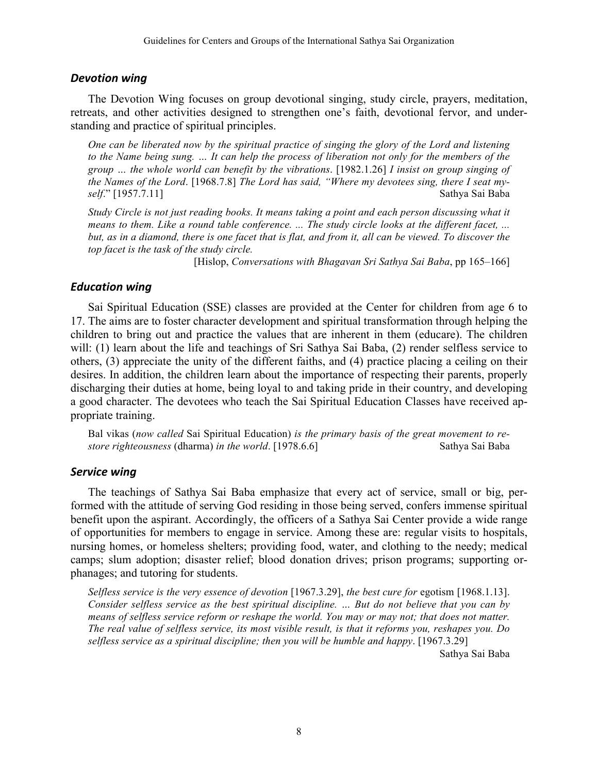#### *Devotion wing*

The Devotion Wing focuses on group devotional singing, study circle, prayers, meditation, retreats, and other activities designed to strengthen one's faith, devotional fervor, and understanding and practice of spiritual principles.

*One can be liberated now by the spiritual practice of singing the glory of the Lord and listening to the Name being sung. … It can help the process of liberation not only for the members of the group … the whole world can benefit by the vibrations*. [1982.1.26] *I insist on group singing of the Names of the Lord*. [1968.7.8] *The Lord has said, "Where my devotees sing, there I seat myself*." [1957.7.11] Sathya Sai Baba

*Study Circle is not just reading books. It means taking a point and each person discussing what it means to them. Like a round table conference. ... The study circle looks at the different facet, ...*  but, as in a diamond, there is one facet that is flat, and from it, all can be viewed. To discover the *top facet is the task of the study circle.* 

[Hislop, *Conversations with Bhagavan Sri Sathya Sai Baba*, pp 165–166]

#### *Education wing*

Sai Spiritual Education (SSE) classes are provided at the Center for children from age 6 to 17. The aims are to foster character development and spiritual transformation through helping the children to bring out and practice the values that are inherent in them (educare). The children will: (1) learn about the life and teachings of Sri Sathya Sai Baba, (2) render selfless service to others, (3) appreciate the unity of the different faiths, and (4) practice placing a ceiling on their desires. In addition, the children learn about the importance of respecting their parents, properly discharging their duties at home, being loyal to and taking pride in their country, and developing a good character. The devotees who teach the Sai Spiritual Education Classes have received appropriate training.

Bal vikas (*now called* Sai Spiritual Education) *is the primary basis of the great movement to restore righteousness* (dharma) *in the world*. [1978.6.6] Sathya Sai Baba

#### **Service** wing

The teachings of Sathya Sai Baba emphasize that every act of service, small or big, performed with the attitude of serving God residing in those being served, confers immense spiritual benefit upon the aspirant. Accordingly, the officers of a Sathya Sai Center provide a wide range of opportunities for members to engage in service. Among these are: regular visits to hospitals, nursing homes, or homeless shelters; providing food, water, and clothing to the needy; medical camps; slum adoption; disaster relief; blood donation drives; prison programs; supporting orphanages; and tutoring for students.

*Selfless service is the very essence of devotion* [1967.3.29], *the best cure for* egotism [1968.1.13]. *Consider selfless service as the best spiritual discipline. … But do not believe that you can by means of selfless service reform or reshape the world. You may or may not; that does not matter. The real value of selfless service, its most visible result, is that it reforms you, reshapes you. Do selfless service as a spiritual discipline; then you will be humble and happy*. [1967.3.29]

Sathya Sai Baba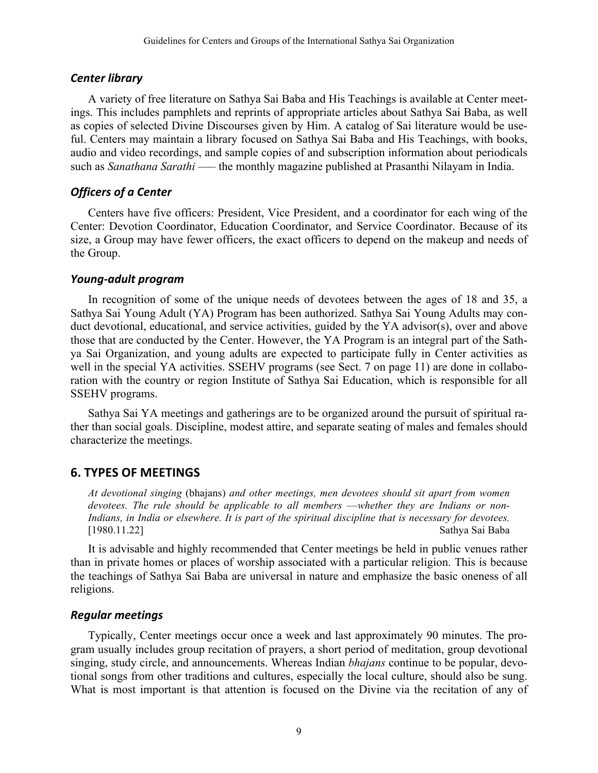#### *Center library*

A variety of free literature on Sathya Sai Baba and His Teachings is available at Center meetings. This includes pamphlets and reprints of appropriate articles about Sathya Sai Baba, as well as copies of selected Divine Discourses given by Him. A catalog of Sai literature would be useful. Centers may maintain a library focused on Sathya Sai Baba and His Teachings, with books, audio and video recordings, and sample copies of and subscription information about periodicals such as *Sanathana Sarathi* —– the monthly magazine published at Prasanthi Nilayam in India.

## *Officers of a Center*

Centers have five officers: President, Vice President, and a coordinator for each wing of the Center: Devotion Coordinator, Education Coordinator, and Service Coordinator. Because of its size, a Group may have fewer officers, the exact officers to depend on the makeup and needs of the Group.

### *Young-adult program*

In recognition of some of the unique needs of devotees between the ages of 18 and 35, a Sathya Sai Young Adult (YA) Program has been authorized. Sathya Sai Young Adults may conduct devotional, educational, and service activities, guided by the YA advisor(s), over and above those that are conducted by the Center. However, the YA Program is an integral part of the Sathya Sai Organization, and young adults are expected to participate fully in Center activities as well in the special YA activities. SSEHV programs (see Sect. 7 on page 11) are done in collaboration with the country or region Institute of Sathya Sai Education, which is responsible for all SSEHV programs.

Sathya Sai YA meetings and gatherings are to be organized around the pursuit of spiritual rather than social goals. Discipline, modest attire, and separate seating of males and females should characterize the meetings.

## **6. TYPES OF MEETINGS**

*At devotional singing* (bhajans) *and other meetings, men devotees should sit apart from women*  devotees. The rule should be applicable to all members —whether they are Indians or non-*Indians, in India or elsewhere. It is part of the spiritual discipline that is necessary for devotees.*  [1980.11.22] Sathya Sai Baba

It is advisable and highly recommended that Center meetings be held in public venues rather than in private homes or places of worship associated with a particular religion. This is because the teachings of Sathya Sai Baba are universal in nature and emphasize the basic oneness of all religions.

## *Regular meetings*

Typically, Center meetings occur once a week and last approximately 90 minutes. The program usually includes group recitation of prayers, a short period of meditation, group devotional singing, study circle, and announcements. Whereas Indian *bhajans* continue to be popular, devotional songs from other traditions and cultures, especially the local culture, should also be sung. What is most important is that attention is focused on the Divine via the recitation of any of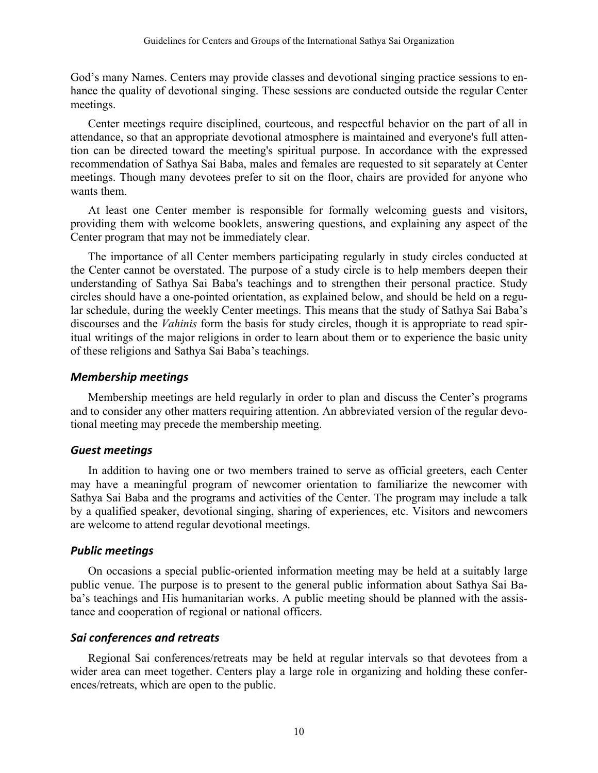God's many Names. Centers may provide classes and devotional singing practice sessions to enhance the quality of devotional singing. These sessions are conducted outside the regular Center meetings.

Center meetings require disciplined, courteous, and respectful behavior on the part of all in attendance, so that an appropriate devotional atmosphere is maintained and everyone's full attention can be directed toward the meeting's spiritual purpose. In accordance with the expressed recommendation of Sathya Sai Baba, males and females are requested to sit separately at Center meetings. Though many devotees prefer to sit on the floor, chairs are provided for anyone who wants them.

At least one Center member is responsible for formally welcoming guests and visitors, providing them with welcome booklets, answering questions, and explaining any aspect of the Center program that may not be immediately clear.

The importance of all Center members participating regularly in study circles conducted at the Center cannot be overstated. The purpose of a study circle is to help members deepen their understanding of Sathya Sai Baba's teachings and to strengthen their personal practice. Study circles should have a one-pointed orientation, as explained below, and should be held on a regular schedule, during the weekly Center meetings. This means that the study of Sathya Sai Baba's discourses and the *Vahinis* form the basis for study circles, though it is appropriate to read spiritual writings of the major religions in order to learn about them or to experience the basic unity of these religions and Sathya Sai Baba's teachings.

#### *Membership meetings*

Membership meetings are held regularly in order to plan and discuss the Center's programs and to consider any other matters requiring attention. An abbreviated version of the regular devotional meeting may precede the membership meeting.

#### *Guest meetings*

In addition to having one or two members trained to serve as official greeters, each Center may have a meaningful program of newcomer orientation to familiarize the newcomer with Sathya Sai Baba and the programs and activities of the Center. The program may include a talk by a qualified speaker, devotional singing, sharing of experiences, etc. Visitors and newcomers are welcome to attend regular devotional meetings.

#### *Public meetings*

On occasions a special public-oriented information meeting may be held at a suitably large public venue. The purpose is to present to the general public information about Sathya Sai Baba's teachings and His humanitarian works. A public meeting should be planned with the assistance and cooperation of regional or national officers.

## *Sai conferences and retreats*

Regional Sai conferences/retreats may be held at regular intervals so that devotees from a wider area can meet together. Centers play a large role in organizing and holding these conferences/retreats, which are open to the public.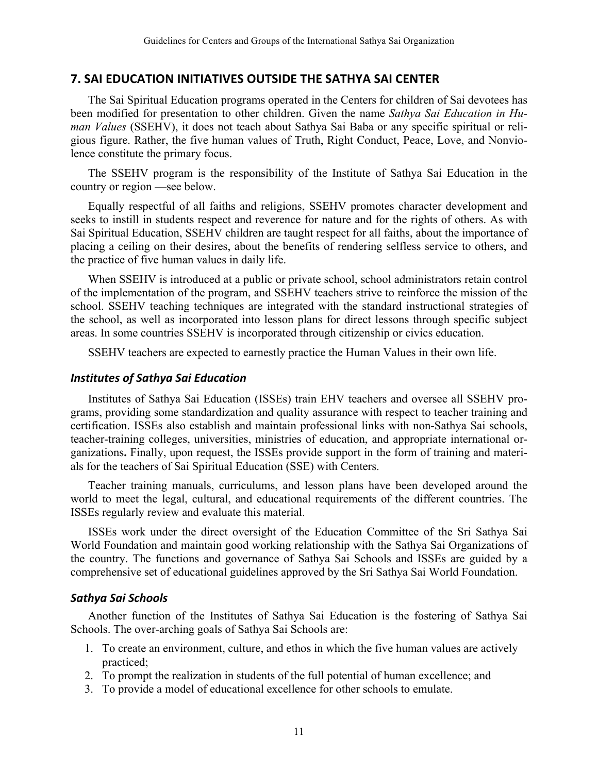#### **7. SAI EDUCATION INITIATIVES OUTSIDE THE SATHYA SAI CENTER**

The Sai Spiritual Education programs operated in the Centers for children of Sai devotees has been modified for presentation to other children. Given the name *Sathya Sai Education in Human Values* (SSEHV), it does not teach about Sathya Sai Baba or any specific spiritual or religious figure. Rather, the five human values of Truth, Right Conduct, Peace, Love, and Nonviolence constitute the primary focus.

The SSEHV program is the responsibility of the Institute of Sathya Sai Education in the country or region —see below.

Equally respectful of all faiths and religions, SSEHV promotes character development and seeks to instill in students respect and reverence for nature and for the rights of others. As with Sai Spiritual Education, SSEHV children are taught respect for all faiths, about the importance of placing a ceiling on their desires, about the benefits of rendering selfless service to others, and the practice of five human values in daily life.

When SSEHV is introduced at a public or private school, school administrators retain control of the implementation of the program, and SSEHV teachers strive to reinforce the mission of the school. SSEHV teaching techniques are integrated with the standard instructional strategies of the school, as well as incorporated into lesson plans for direct lessons through specific subject areas. In some countries SSEHV is incorporated through citizenship or civics education.

SSEHV teachers are expected to earnestly practice the Human Values in their own life.

#### *Institutes of Sathya Sai Education*

Institutes of Sathya Sai Education (ISSEs) train EHV teachers and oversee all SSEHV programs, providing some standardization and quality assurance with respect to teacher training and certification. ISSEs also establish and maintain professional links with non-Sathya Sai schools, teacher-training colleges, universities, ministries of education, and appropriate international organizations**.** Finally, upon request, the ISSEs provide support in the form of training and materials for the teachers of Sai Spiritual Education (SSE) with Centers.

Teacher training manuals, curriculums, and lesson plans have been developed around the world to meet the legal, cultural, and educational requirements of the different countries. The ISSEs regularly review and evaluate this material.

ISSEs work under the direct oversight of the Education Committee of the Sri Sathya Sai World Foundation and maintain good working relationship with the Sathya Sai Organizations of the country. The functions and governance of Sathya Sai Schools and ISSEs are guided by a comprehensive set of educational guidelines approved by the Sri Sathya Sai World Foundation.

#### *Sathya Sai Schools*

Another function of the Institutes of Sathya Sai Education is the fostering of Sathya Sai Schools. The over-arching goals of Sathya Sai Schools are:

- 1. To create an environment, culture, and ethos in which the five human values are actively practiced;
- 2. To prompt the realization in students of the full potential of human excellence; and
- 3. To provide a model of educational excellence for other schools to emulate.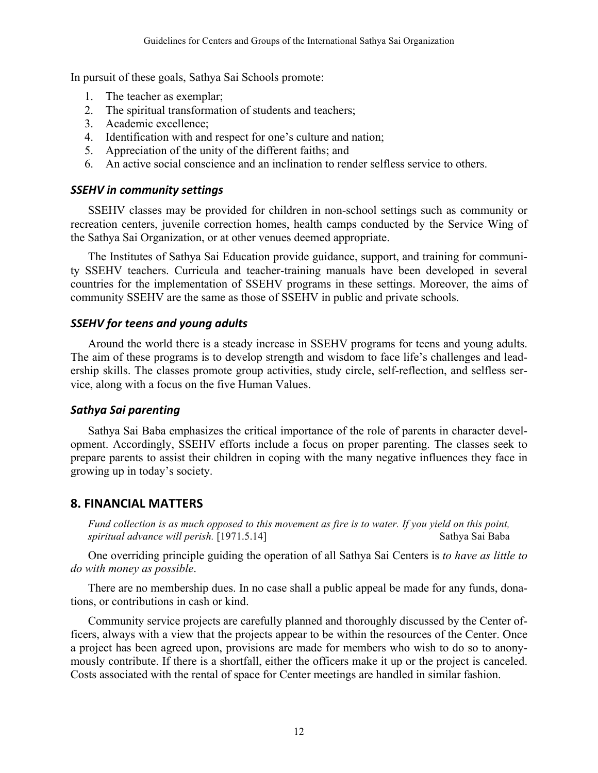In pursuit of these goals, Sathya Sai Schools promote:

- 1. The teacher as exemplar;
- 2. The spiritual transformation of students and teachers;
- 3. Academic excellence;
- 4. Identification with and respect for one's culture and nation;
- 5. Appreciation of the unity of the different faiths; and
- 6. An active social conscience and an inclination to render selfless service to others.

#### *SSEHV in community settings*

SSEHV classes may be provided for children in non-school settings such as community or recreation centers, juvenile correction homes, health camps conducted by the Service Wing of the Sathya Sai Organization, or at other venues deemed appropriate.

The Institutes of Sathya Sai Education provide guidance, support, and training for community SSEHV teachers. Curricula and teacher-training manuals have been developed in several countries for the implementation of SSEHV programs in these settings. Moreover, the aims of community SSEHV are the same as those of SSEHV in public and private schools.

#### *SSEHV for teens and young adults*

Around the world there is a steady increase in SSEHV programs for teens and young adults. The aim of these programs is to develop strength and wisdom to face life's challenges and leadership skills. The classes promote group activities, study circle, self-reflection, and selfless service, along with a focus on the five Human Values.

#### *Sathya Sai parenting*

Sathya Sai Baba emphasizes the critical importance of the role of parents in character development. Accordingly, SSEHV efforts include a focus on proper parenting. The classes seek to prepare parents to assist their children in coping with the many negative influences they face in growing up in today's society.

#### **8. FINANCIAL MATTERS**

*Fund collection is as much opposed to this movement as fire is to water. If you yield on this point, spiritual advance will perish.* [1971.5.14] Sathya Sai Baba

One overriding principle guiding the operation of all Sathya Sai Centers is *to have as little to do with money as possible*.

There are no membership dues. In no case shall a public appeal be made for any funds, donations, or contributions in cash or kind.

Community service projects are carefully planned and thoroughly discussed by the Center officers, always with a view that the projects appear to be within the resources of the Center. Once a project has been agreed upon, provisions are made for members who wish to do so to anonymously contribute. If there is a shortfall, either the officers make it up or the project is canceled. Costs associated with the rental of space for Center meetings are handled in similar fashion.